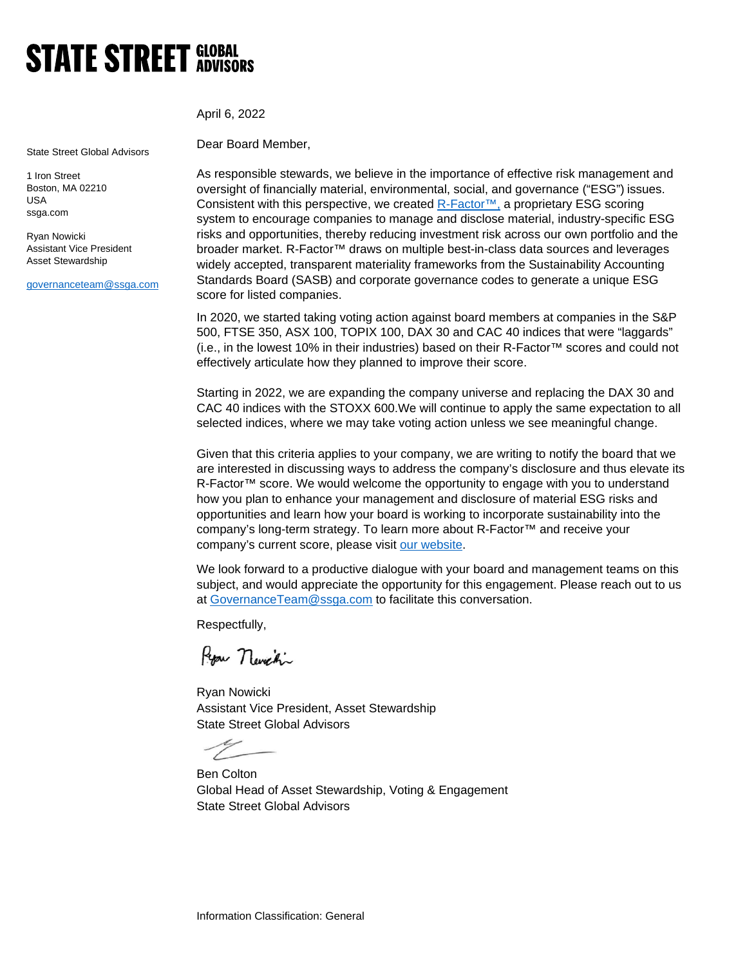## **STATE STREET GLOBAL**

April 6, 2022

State Street Global Advisors

1 Iron Street Boston, MA 02210 USA ssga.com

Ryan Nowicki Assistant Vice President Asset Stewardship

[governanceteam@ssga.com](mailto:governanceteam@ssga.com)

Dear Board Member,

As responsible stewards, we believe in the importance of effective risk management and oversight of financially material, environmental, social, and governance ("ESG") issues. Consistent with this perspective, we created R-Factor<sup>™</sup>, a proprietary ESG scoring system to encourage companies to manage and disclose material, industry-specific ESG risks and opportunities, thereby reducing investment risk across our own portfolio and the broader market. R-Factor™ draws on multiple best-in-class data sources and leverages widely accepted, transparent materiality frameworks from the Sustainability Accounting Standards Board (SASB) and corporate governance codes to generate a unique ESG score for listed companies.

In 2020, we started taking voting action against board members at companies in the S&P 500, FTSE 350, ASX 100, TOPIX 100, DAX 30 and CAC 40 indices that were "laggards" (i.e., in the lowest 10% in their industries) based on their R-Factor™ scores and could not effectively articulate how they planned to improve their score.

Starting in 2022, we are expanding the company universe and replacing the DAX 30 and CAC 40 indices with the STOXX 600.We will continue to apply the same expectation to all selected indices, where we may take voting action unless we see meaningful change.

Given that this criteria applies to your company, we are writing to notify the board that we are interested in discussing ways to address the company's disclosure and thus elevate its R-Factor™ score. We would welcome the opportunity to engage with you to understand how you plan to enhance your management and disclosure of material ESG risks and opportunities and learn how your board is working to incorporate sustainability into the company's long-term strategy. To learn more about R-Factor™ and receive your company's current score, please visit [our website.](https://www.ssga.com/us/en/institutional/ic/capabilities/esg/data-scoring/r-factor-transparent-esg-scoring)

We look forward to a productive dialogue with your board and management teams on this subject, and would appreciate the opportunity for this engagement. Please reach out to us at [GovernanceTeam@ssga.com](mailto:GovernanceTeam@ssga.com) to facilitate this conversation.

Respectfully,

Ryon Neveni

Ryan Nowicki Assistant Vice President, Asset Stewardship State Street Global Advisors

Ben Colton Global Head of Asset Stewardship, Voting & Engagement State Street Global Advisors